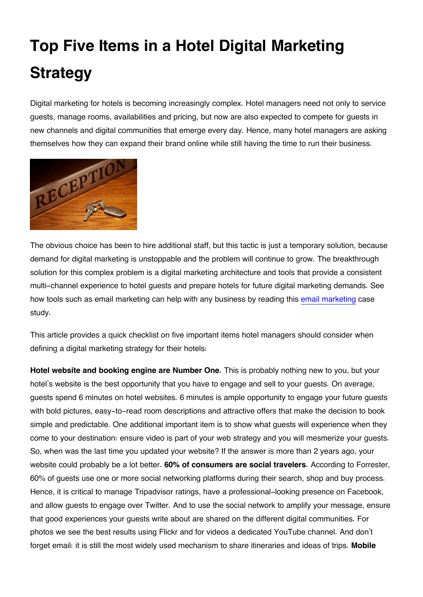## **Top Five Items in a Hotel Digital Marketing Strategy**

Digital marketing for hotels is becoming increasingly complex. Hotel managers need not only to service guests, manage rooms, availabilities and pricing, but now are also expected to compete for guests in new channels and digital communities that emerge every day. Hence, many hotel managers are asking themselves how they can expand their brand online while still having the time to run their business.



The obvious choice has been to hire additional staff, but this tactic is just a temporary solution, because demand for digital marketing is unstoppable and the problem will continue to grow. The breakthrough solution for this complex problem is a digital marketing architecture and tools that provide a consistent multi-channel experience to hotel guests and prepare hotels for future digital marketing demands. See how tools such as email marketing can help with any business by reading this [email marketing](http://blog.icontact.com/blog/with-icontact-great-email-marketing-is-always-in-style/) case study.

This article provides a quick checklist on five important items hotel managers should consider when defining a digital marketing strategy for their hotels:

**Hotel website and booking engine are Number One.** This is probably nothing new to you, but your hotel's website is the best opportunity that you have to engage and sell to your guests. On average, guests spend 6 minutes on hotel websites. 6 minutes is ample opportunity to engage your future guests with bold pictures, easy-to-read room descriptions and attractive offers that make the decision to book simple and predictable. One additional important item is to show what guests will experience when they come to your destination: ensure video is part of your web strategy and you will mesmerize your guests. So, when was the last time you updated your website? If the answer is more than 2 years ago, your website could probably be a lot better. **60% of consumers are social travelers.** According to Forrester, 60% of guests use one or more social networking platforms during their search, shop and buy process. Hence, it is critical to manage Tripadvisor ratings, have a professional-looking presence on Facebook, and allow guests to engage over Twitter. And to use the social network to amplify your message, ensure that good experiences your guests write about are shared on the different digital communities. For photos we see the best results using Flickr and for videos a dedicated YouTube channel. And don't forget email: it is still the most widely used mechanism to share itineraries and ideas of trips. **Mobile**